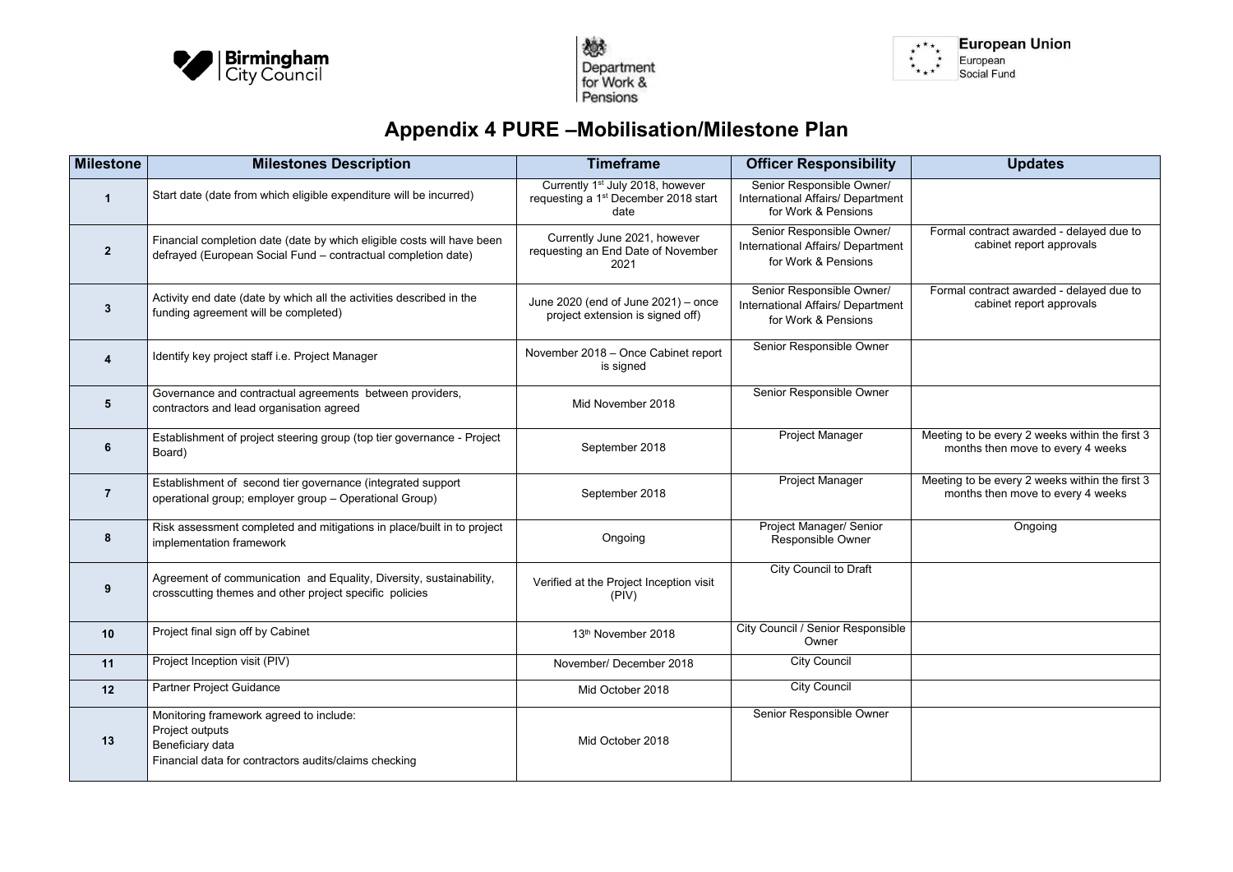



\* \* \* \* \*<br>\* \* \* \*

## **Appendix 4 PURE –Mobilisation/Milestone Plan**

| <b>Milestone</b> | <b>Milestones Description</b>                                                                                                           | <b>Timeframe</b>                                                                                         | <b>Officer Responsibility</b>                                                                | <b>Updates</b>                                         |
|------------------|-----------------------------------------------------------------------------------------------------------------------------------------|----------------------------------------------------------------------------------------------------------|----------------------------------------------------------------------------------------------|--------------------------------------------------------|
|                  | Start date (date from which eligible expenditure will be incurred)                                                                      | Currently 1 <sup>st</sup> July 2018, however<br>requesting a 1 <sup>st</sup> December 2018 start<br>date | Senior Responsible Owner/<br><b>International Affairs/ Department</b><br>for Work & Pensions |                                                        |
| $\overline{2}$   | Financial completion date (date by which eligible costs will have been<br>defrayed (European Social Fund - contractual completion date) | Currently June 2021, however<br>requesting an End Date of November<br>2021                               | Senior Responsible Owner/<br>International Affairs/ Department<br>for Work & Pensions        | Formal contract awarded -<br>cabinet report app        |
| $\mathbf{3}$     | Activity end date (date by which all the activities described in the<br>funding agreement will be completed)                            | June 2020 (end of June 2021) – once<br>project extension is signed off)                                  | Senior Responsible Owner/<br>International Affairs/ Department<br>for Work & Pensions        | Formal contract awarded -<br>cabinet report app        |
| $\blacktriangle$ | Identify key project staff i.e. Project Manager                                                                                         | November 2018 - Once Cabinet report<br>is signed                                                         | Senior Responsible Owner                                                                     |                                                        |
| $5\phantom{1}$   | Governance and contractual agreements between providers,<br>contractors and lead organisation agreed                                    | Mid November 2018                                                                                        | Senior Responsible Owner                                                                     |                                                        |
| 6                | Establishment of project steering group (top tier governance - Project<br>Board)                                                        | September 2018                                                                                           | Project Manager                                                                              | Meeting to be every 2 weeks<br>months then move to ev- |
| $\overline{7}$   | Establishment of second tier governance (integrated support<br>operational group; employer group - Operational Group)                   | September 2018                                                                                           | Project Manager                                                                              | Meeting to be every 2 weeks<br>months then move to ev- |
| 8                | Risk assessment completed and mitigations in place/built in to project<br>implementation framework                                      | Ongoing                                                                                                  | Project Manager/ Senior<br><b>Responsible Owner</b>                                          | Ongoing                                                |
| 9                | Agreement of communication and Equality, Diversity, sustainability,<br>crosscutting themes and other project specific policies          | Verified at the Project Inception visit<br>(PIV)                                                         | <b>City Council to Draft</b>                                                                 |                                                        |
| 10               | Project final sign off by Cabinet                                                                                                       | 13th November 2018                                                                                       | City Council / Senior Responsible<br>Owner                                                   |                                                        |
| 11               | Project Inception visit (PIV)                                                                                                           | November/ December 2018                                                                                  | <b>City Council</b>                                                                          |                                                        |
| 12               | Partner Project Guidance                                                                                                                | Mid October 2018                                                                                         | <b>City Council</b>                                                                          |                                                        |
| 13               | Monitoring framework agreed to include:<br>Project outputs<br>Beneficiary data<br>Financial data for contractors audits/claims checking | Mid October 2018                                                                                         | Senior Responsible Owner                                                                     |                                                        |



| <b>Updates</b>                                                                      |
|-------------------------------------------------------------------------------------|
|                                                                                     |
| Formal contract awarded - delayed due to<br>cabinet report approvals                |
| Formal contract awarded - delayed due to<br>cabinet report approvals                |
|                                                                                     |
|                                                                                     |
| Meeting to be every 2 weeks within the first 3<br>months then move to every 4 weeks |
| Meeting to be every 2 weeks within the first 3<br>months then move to every 4 weeks |
| Ongoing                                                                             |
|                                                                                     |
|                                                                                     |
|                                                                                     |
|                                                                                     |
|                                                                                     |
|                                                                                     |